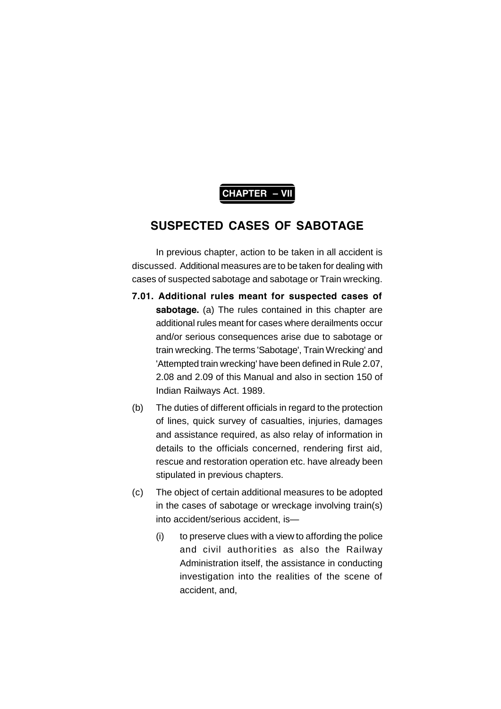# **CHAPTER – VII**

# **SUSPECTED CASES OF SABOTAGE**

In previous chapter, action to be taken in all accident is discussed. Additional measures are to be taken for dealing with cases of suspected sabotage and sabotage or Train wrecking.

- **7.01. Additional rules meant for suspected cases of sabotage.** (a) The rules contained in this chapter are additional rules meant for cases where derailments occur and/or serious consequences arise due to sabotage or train wrecking. The terms 'Sabotage', Train Wrecking' and 'Attempted train wrecking' have been defined in Rule 2.07, 2.08 and 2.09 of this Manual and also in section 150 of Indian Railways Act. 1989.
- (b) The duties of different officials in regard to the protection of lines, quick survey of casualties, injuries, damages and assistance required, as also relay of information in details to the officials concerned, rendering first aid, rescue and restoration operation etc. have already been stipulated in previous chapters.
- (c) The object of certain additional measures to be adopted in the cases of sabotage or wreckage involving train(s) into accident/serious accident, is—
	- (i) to preserve clues with a view to affording the police and civil authorities as also the Railway Administration itself, the assistance in conducting investigation into the realities of the scene of accident, and,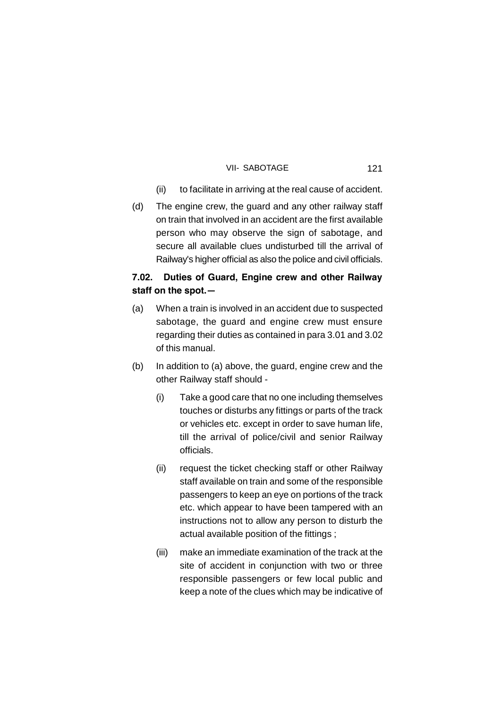- (ii) to facilitate in arriving at the real cause of accident.
- (d) The engine crew, the guard and any other railway staff on train that involved in an accident are the first available person who may observe the sign of sabotage, and secure all available clues undisturbed till the arrival of Railway's higher official as also the police and civil officials.

# **7.02. Duties of Guard, Engine crew and other Railway staff on the spot.—**

- (a) When a train is involved in an accident due to suspected sabotage, the guard and engine crew must ensure regarding their duties as contained in para 3.01 and 3.02 of this manual.
- (b) In addition to (a) above, the guard, engine crew and the other Railway staff should -
	- (i) Take a good care that no one including themselves touches or disturbs any fittings or parts of the track or vehicles etc. except in order to save human life, till the arrival of police/civil and senior Railway officials.
	- (ii) request the ticket checking staff or other Railway staff available on train and some of the responsible passengers to keep an eye on portions of the track etc. which appear to have been tampered with an instructions not to allow any person to disturb the actual available position of the fittings ;
	- (iii) make an immediate examination of the track at the site of accident in conjunction with two or three responsible passengers or few local public and keep a note of the clues which may be indicative of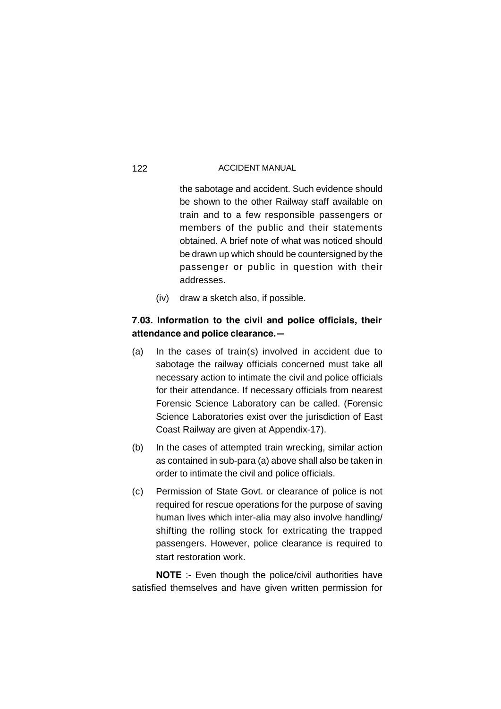the sabotage and accident. Such evidence should be shown to the other Railway staff available on train and to a few responsible passengers or members of the public and their statements obtained. A brief note of what was noticed should be drawn up which should be countersigned by the passenger or public in question with their addresses.

(iv) draw a sketch also, if possible.

# **7.03. Information to the civil and police officials, their attendance and police clearance.—**

- (a) In the cases of train(s) involved in accident due to sabotage the railway officials concerned must take all necessary action to intimate the civil and police officials for their attendance. If necessary officials from nearest Forensic Science Laboratory can be called. (Forensic Science Laboratories exist over the jurisdiction of East Coast Railway are given at Appendix-17).
- (b) In the cases of attempted train wrecking, similar action as contained in sub-para (a) above shall also be taken in order to intimate the civil and police officials.
- (c) Permission of State Govt. or clearance of police is not required for rescue operations for the purpose of saving human lives which inter-alia may also involve handling/ shifting the rolling stock for extricating the trapped passengers. However, police clearance is required to start restoration work.

**NOTE** :- Even though the police/civil authorities have satisfied themselves and have given written permission for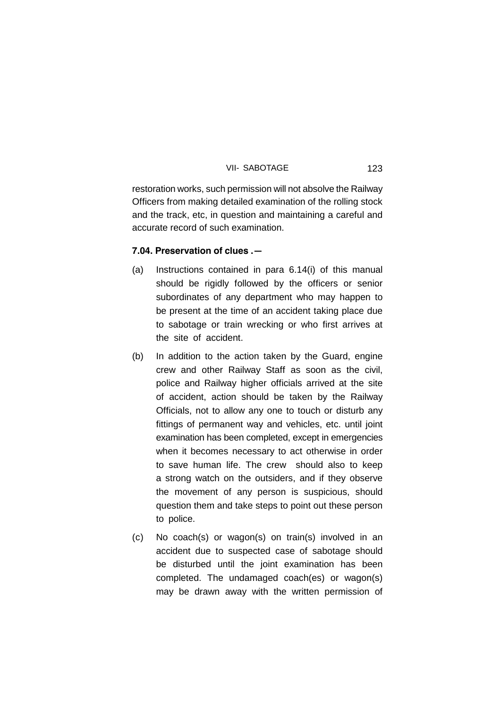restoration works, such permission will not absolve the Railway Officers from making detailed examination of the rolling stock and the track, etc, in question and maintaining a careful and accurate record of such examination.

### **7.04. Preservation of clues .—**

- (a) Instructions contained in para 6.14(i) of this manual should be rigidly followed by the officers or senior subordinates of any department who may happen to be present at the time of an accident taking place due to sabotage or train wrecking or who first arrives at the site of accident.
- (b) In addition to the action taken by the Guard, engine crew and other Railway Staff as soon as the civil, police and Railway higher officials arrived at the site of accident, action should be taken by the Railway Officials, not to allow any one to touch or disturb any fittings of permanent way and vehicles, etc. until joint examination has been completed, except in emergencies when it becomes necessary to act otherwise in order to save human life. The crew should also to keep a strong watch on the outsiders, and if they observe the movement of any person is suspicious, should question them and take steps to point out these person to police.
- (c) No coach(s) or wagon(s) on train(s) involved in an accident due to suspected case of sabotage should be disturbed until the joint examination has been completed. The undamaged coach(es) or wagon(s) may be drawn away with the written permission of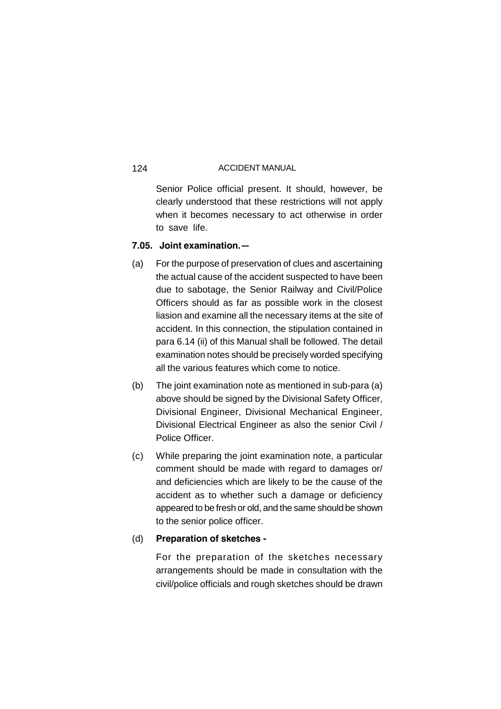Senior Police official present. It should, however, be clearly understood that these restrictions will not apply when it becomes necessary to act otherwise in order to save life.

# **7.05. Joint examination.—**

- (a) For the purpose of preservation of clues and ascertaining the actual cause of the accident suspected to have been due to sabotage, the Senior Railway and Civil/Police Officers should as far as possible work in the closest liasion and examine all the necessary items at the site of accident. In this connection, the stipulation contained in para 6.14 (ii) of this Manual shall be followed. The detail examination notes should be precisely worded specifying all the various features which come to notice.
- (b) The joint examination note as mentioned in sub-para (a) above should be signed by the Divisional Safety Officer, Divisional Engineer, Divisional Mechanical Engineer, Divisional Electrical Engineer as also the senior Civil / Police Officer.
- (c) While preparing the joint examination note, a particular comment should be made with regard to damages or/ and deficiencies which are likely to be the cause of the accident as to whether such a damage or deficiency appeared to be fresh or old, and the same should be shown to the senior police officer.

## (d) **Preparation of sketches -**

For the preparation of the sketches necessary arrangements should be made in consultation with the civil/police officials and rough sketches should be drawn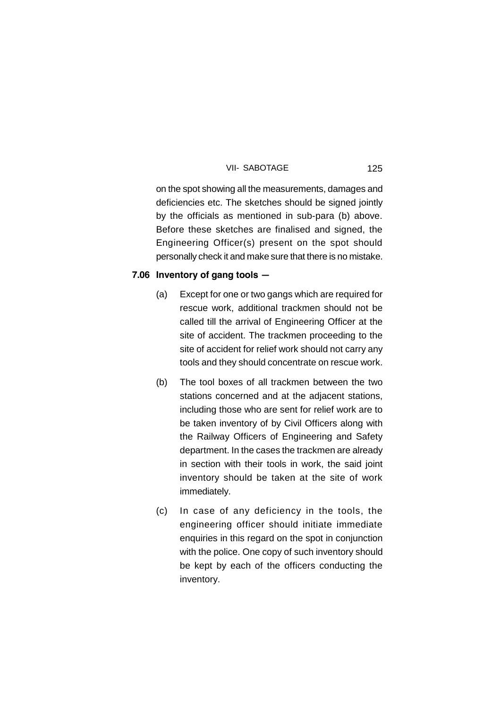on the spot showing all the measurements, damages and deficiencies etc. The sketches should be signed jointly by the officials as mentioned in sub-para (b) above. Before these sketches are finalised and signed, the Engineering Officer(s) present on the spot should personally check it and make sure that there is no mistake.

### **7.06 Inventory of gang tools —**

- (a) Except for one or two gangs which are required for rescue work, additional trackmen should not be called till the arrival of Engineering Officer at the site of accident. The trackmen proceeding to the site of accident for relief work should not carry any tools and they should concentrate on rescue work.
- (b) The tool boxes of all trackmen between the two stations concerned and at the adjacent stations, including those who are sent for relief work are to be taken inventory of by Civil Officers along with the Railway Officers of Engineering and Safety department. In the cases the trackmen are already in section with their tools in work, the said joint inventory should be taken at the site of work immediately.
- (c) In case of any deficiency in the tools, the engineering officer should initiate immediate enquiries in this regard on the spot in conjunction with the police. One copy of such inventory should be kept by each of the officers conducting the inventory.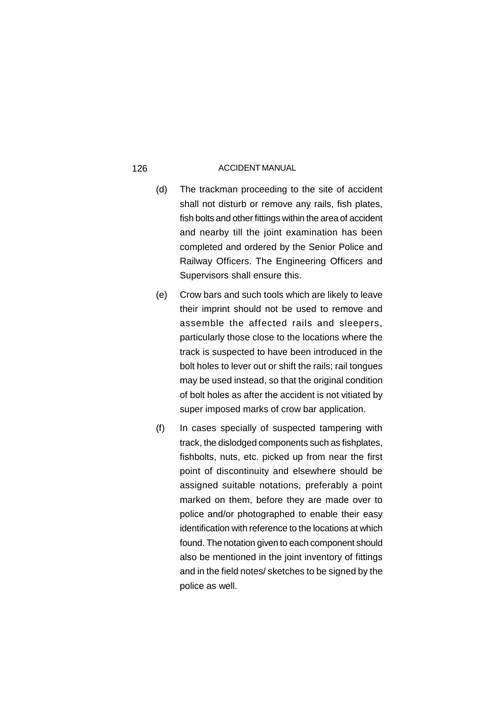- (d) The trackman proceeding to the site of accident shall not disturb or remove any rails, fish plates, fish bolts and other fittings within the area of accident and nearby till the joint examination has been completed and ordered by the Senior Police and Railway Officers. The Engineering Officers and Supervisors shall ensure this.
- (e) Crow bars and such tools which are likely to leave their imprint should not be used to remove and assemble the affected rails and sleepers, particularly those close to the locations where the track is suspected to have been introduced in the bolt holes to lever out or shift the rails; rail tongues may be used instead, so that the original condition of bolt holes as after the accident is not vitiated by super imposed marks of crow bar application.
- (f) In cases specially of suspected tampering with track, the dislodged components such as fishplates, fishbolts, nuts, etc. picked up from near the first point of discontinuity and elsewhere should be assigned suitable notations, preferably a point marked on them, before they are made over to police and/or photographed to enable their easy identification with reference to the locations at which found. The notation given to each component should also be mentioned in the joint inventory of fittings and in the field notes/ sketches to be signed by the police as well.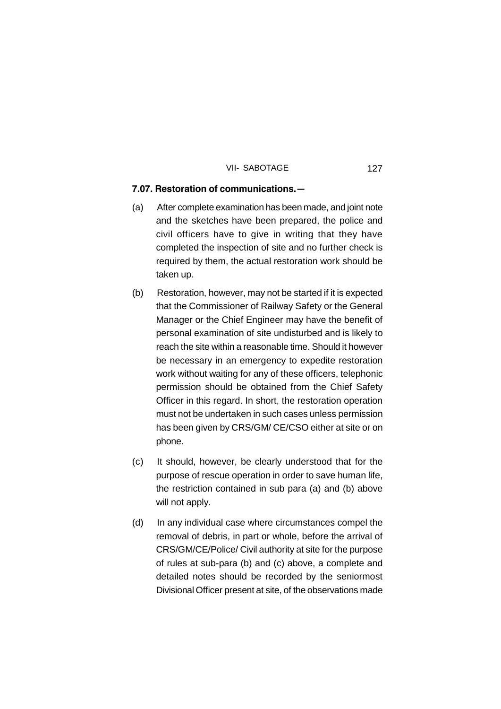### **7.07. Restoration of communications.—**

- (a) After complete examination has been made, and joint note and the sketches have been prepared, the police and civil officers have to give in writing that they have completed the inspection of site and no further check is required by them, the actual restoration work should be taken up.
- (b) Restoration, however, may not be started if it is expected that the Commissioner of Railway Safety or the General Manager or the Chief Engineer may have the benefit of personal examination of site undisturbed and is likely to reach the site within a reasonable time. Should it however be necessary in an emergency to expedite restoration work without waiting for any of these officers, telephonic permission should be obtained from the Chief Safety Officer in this regard. In short, the restoration operation must not be undertaken in such cases unless permission has been given by CRS/GM/ CE/CSO either at site or on phone.
- (c) It should, however, be clearly understood that for the purpose of rescue operation in order to save human life, the restriction contained in sub para (a) and (b) above will not apply.
- (d) In any individual case where circumstances compel the removal of debris, in part or whole, before the arrival of CRS/GM/CE/Police/ Civil authority at site for the purpose of rules at sub-para (b) and (c) above, a complete and detailed notes should be recorded by the seniormost Divisional Officer present at site, of the observations made